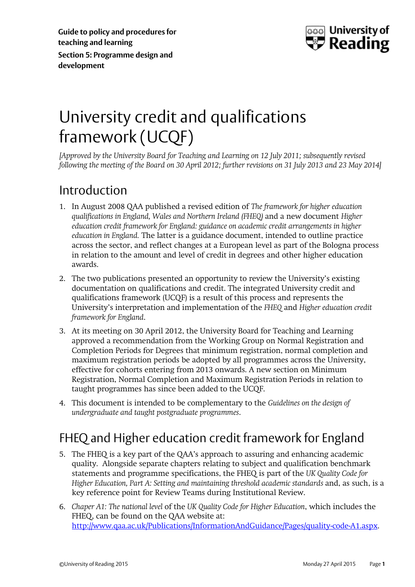**Guide to policy and procedures for teaching and learning Section 5: Programme design and development**



# University credit and qualifications framework (UCQF)

*[Approved by the University Board for Teaching and Learning on 12 July 2011; subsequently revised following the meeting of the Board on 30 April 2012; further revisions on 31 July 2013 and 23 May 2014]*

# Introduction

- 1. In August 2008 QAA published a revised edition of *The framework for higher education qualifications in England, Wales and Northern Ireland (FHEQ)* and a new document *Higher education credit framework for England: guidance on academic credit arrangements in higher education in England.* The latter is a guidance document, intended to outline practice across the sector, and reflect changes at a European level as part of the Bologna process in relation to the amount and level of credit in degrees and other higher education awards.
- 2. The two publications presented an opportunity to review the University's existing documentation on qualifications and credit. The integrated University credit and qualifications framework (UCQF) is a result of this process and represents the University's interpretation and implementation of the *FHEQ* and *Higher education credit framework for England*.
- 3. At its meeting on 30 April 2012, the University Board for Teaching and Learning approved a recommendation from the Working Group on Normal Registration and Completion Periods for Degrees that minimum registration, normal completion and maximum registration periods be adopted by all programmes across the University, effective for cohorts entering from 2013 onwards. A new section on Minimum Registration, Normal Completion and Maximum Registration Periods in relation to taught programmes has since been added to the UCQF.
- 4. This document is intended to be complementary to the *Guidelines on the design of undergraduate and taught postgraduate programmes*.

# FHEQ and Higher education credit framework for England

- 5. The FHEQ is a key part of the QAA's approach to assuring and enhancing academic quality. Alongside separate chapters relating to subject and qualification benchmark statements and programme specifications, the FHEQ is part of the *UK Quality Code for Higher Education, Part A: Setting and maintaining threshold academic standards* and, as such, is a key reference point for Review Teams during Institutional Review.
- 6. *Chaper A1: The national level* of the *UK Quality Code for Higher Education*, which includes the FHEQ, can be found on the QAA website at: [http://www.qaa.ac.uk/Publications/InformationAndGuidance/Pages/quality-code-A1.aspx.](http://www.qaa.ac.uk/Publications/InformationAndGuidance/Pages/quality-code-A1.aspx)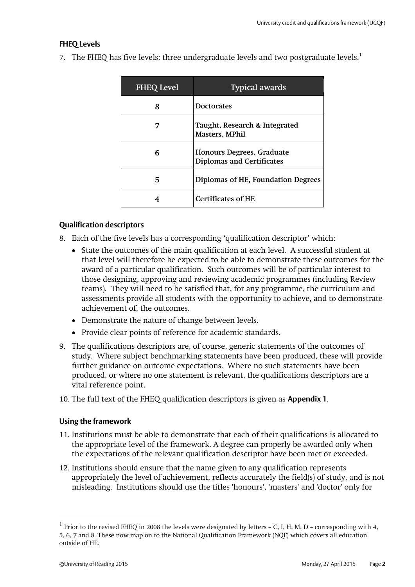# **FHEQ Levels**

7. The FHEQ has five levels: three undergraduate levels and two postgraduate levels. $<sup>1</sup>$ </sup>

| <b>FHEQ Level</b> | <b>Typical awards</b>                                         |
|-------------------|---------------------------------------------------------------|
| 8                 | <b>Doctorates</b>                                             |
|                   | Taught, Research & Integrated<br>Masters, MPhil               |
| 6                 | Honours Degrees, Graduate<br><b>Diplomas and Certificates</b> |
| 5                 | Diplomas of HE, Foundation Degrees                            |
|                   | <b>Certificates of HE</b>                                     |

# **Qualification descriptors**

8. Each of the five levels has a corresponding 'qualification descriptor' which:

- State the outcomes of the main qualification at each level. A successful student at that level will therefore be expected to be able to demonstrate these outcomes for the award of a particular qualification. Such outcomes will be of particular interest to those designing, approving and reviewing academic programmes (including Review teams). They will need to be satisfied that, for any programme, the curriculum and assessments provide all students with the opportunity to achieve, and to demonstrate achievement of, the outcomes.
- Demonstrate the nature of change between levels.
- Provide clear points of reference for academic standards.
- 9. The qualifications descriptors are, of course, generic statements of the outcomes of study. Where subject benchmarking statements have been produced, these will provide further guidance on outcome expectations. Where no such statements have been produced, or where no one statement is relevant, the qualifications descriptors are a vital reference point.
- 10. The full text of the FHEQ qualification descriptors is given as **Appendix 1**.

### **Using the framework**

- 11. Institutions must be able to demonstrate that each of their qualifications is allocated to the appropriate level of the framework. A degree can properly be awarded only when the expectations of the relevant qualification descriptor have been met or exceeded.
- 12. Institutions should ensure that the name given to any qualification represents appropriately the level of achievement, reflects accurately the field(s) of study, and is not misleading. Institutions should use the titles 'honours', 'masters' and 'doctor' only for

1

<sup>&</sup>lt;sup>1</sup> Prior to the revised FHEQ in 2008 the levels were designated by letters  $-$  C, I, H, M, D  $-$  corresponding with 4, 5, 6, 7 and 8. These now map on to the National Qualification Framework (NQF) which covers all education outside of HE.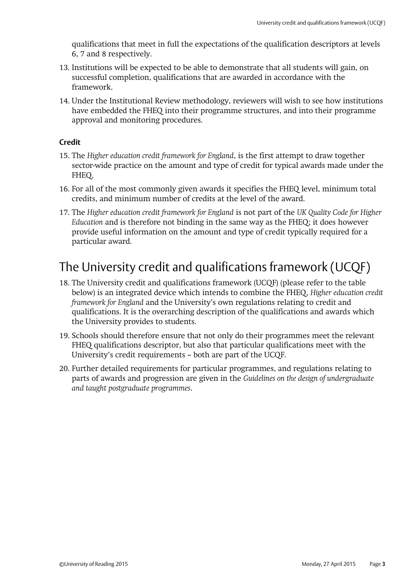qualifications that meet in full the expectations of the qualification descriptors at levels 6, 7 and 8 respectively.

- 13. Institutions will be expected to be able to demonstrate that all students will gain, on successful completion, qualifications that are awarded in accordance with the framework.
- 14. Under the Institutional Review methodology, reviewers will wish to see how institutions have embedded the FHEQ into their programme structures, and into their programme approval and monitoring procedures.

### **Credit**

- 15. The *Higher education credit framework for England*, is the first attempt to draw together sector-wide practice on the amount and type of credit for typical awards made under the FHEQ.
- 16. For all of the most commonly given awards it specifies the FHEQ level, minimum total credits, and minimum number of credits at the level of the award.
- 17. The *Higher education credit framework for England* is not part of the *UK Quality Code for Higher Education* and is therefore not binding in the same way as the FHEQ; it does however provide useful information on the amount and type of credit typically required for a particular award.

# The University credit and qualifications framework (UCQF)

- 18. The University credit and qualifications framework (UCQF) (please refer to the table below) is an integrated device which intends to combine the FHEQ, *Higher education credit framework for England* and the University's own regulations relating to credit and qualifications. It is the overarching description of the qualifications and awards which the University provides to students.
- 19. Schools should therefore ensure that not only do their programmes meet the relevant FHEQ qualifications descriptor, but also that particular qualifications meet with the University's credit requirements – both are part of the UCQF.
- 20. Further detailed requirements for particular programmes, and regulations relating to parts of awards and progression are given in the *Guidelines on the design of undergraduate and taught postgraduate programmes*.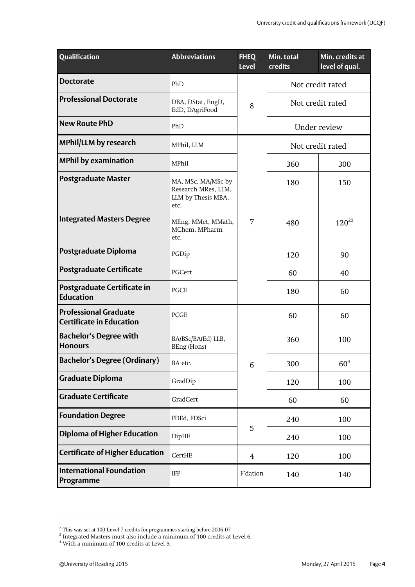| Qualification                                                   | <b>Abbreviations</b>                                                    | <b>FHEQ</b><br><b>Level</b> | Min. total<br>credits            | Min. credits at<br>level of qual. |
|-----------------------------------------------------------------|-------------------------------------------------------------------------|-----------------------------|----------------------------------|-----------------------------------|
| <b>Doctorate</b>                                                | PhD                                                                     |                             | Not credit rated                 |                                   |
| <b>Professional Doctorate</b>                                   | DBA, DStat, EngD,<br>EdD, DAgriFood                                     | 8                           | Not credit rated<br>Under review |                                   |
| <b>New Route PhD</b>                                            | PhD                                                                     |                             |                                  |                                   |
| MPhil/LLM by research                                           | MPhil, LLM                                                              |                             | Not credit rated                 |                                   |
| <b>MPhil by examination</b>                                     | MPhil                                                                   |                             | 360                              | 300                               |
| <b>Postgraduate Master</b>                                      | MA, MSc, MA/MSc by<br>Research MRes, LLM,<br>LLM by Thesis MBA,<br>etc. | 7                           | 180                              | 150                               |
| <b>Integrated Masters Degree</b>                                | MEng, MMet, MMath,<br>MChem, MPharm<br>etc.                             |                             | 480                              | $120^{23}$                        |
| Postgraduate Diploma                                            | PGDip                                                                   |                             | 120                              | 90                                |
| <b>Postgraduate Certificate</b>                                 | PGCert                                                                  |                             | 60                               | 40                                |
| Postgraduate Certificate in<br><b>Education</b>                 | PGCE                                                                    |                             | 180                              | 60                                |
| <b>Professional Graduate</b><br><b>Certificate in Education</b> | PCGE                                                                    |                             | 60                               | 60                                |
| <b>Bachelor's Degree with</b><br><b>Honours</b>                 | BA/BSc/BA(Ed) LLB,<br>BEng (Hons)                                       | 6                           | 360                              | 100                               |
| <b>Bachelor's Degree (Ordinary)</b>                             | BA etc.                                                                 |                             | 300                              | $60^4$                            |
| <b>Graduate Diploma</b>                                         | GradDip                                                                 |                             | 120                              | 100                               |
| <b>Graduate Certificate</b>                                     | GradCert                                                                |                             | 60                               | 60                                |
| <b>Foundation Degree</b>                                        | FDEd, FDSci                                                             |                             | 240                              | 100                               |
| <b>Diploma of Higher Education</b>                              | <b>DipHE</b>                                                            | 5                           | 240                              | 100                               |
| <b>Certificate of Higher Education</b>                          | CertHE                                                                  | $\overline{4}$              | 120                              | 100                               |
| <b>International Foundation</b><br>Programme                    | <b>IFP</b>                                                              | F'dation                    | 140                              | 140                               |

-

 $^2$  This was set at 100 Level 7 credits for programmes starting before 2006-07  $^3$  Integrated Masters must also include a minimum of 100 credits at Level 6.

<sup>&</sup>lt;sup>4</sup> With a minimum of 100 credits at Level 5.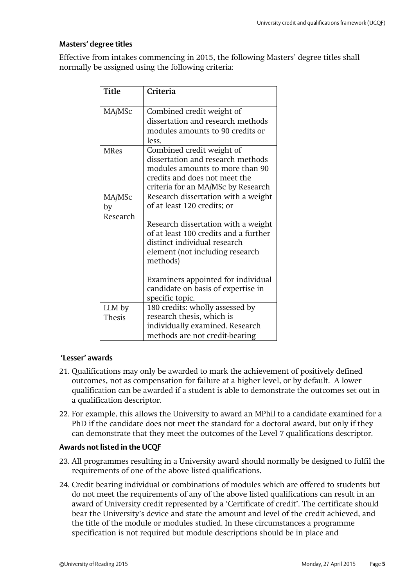### **Masters' degree titles**

Effective from intakes commencing in 2015, the following Masters' degree titles shall normally be assigned using the following criteria:

| <b>Title</b>             | Criteria                                                                                                                                                                                                                                                                |
|--------------------------|-------------------------------------------------------------------------------------------------------------------------------------------------------------------------------------------------------------------------------------------------------------------------|
| MA/MSc                   | Combined credit weight of<br>dissertation and research methods<br>modules amounts to 90 credits or<br>less.                                                                                                                                                             |
| <b>MRes</b>              | Combined credit weight of<br>dissertation and research methods<br>modules amounts to more than 90<br>credits and does not meet the<br>criteria for an MA/MSc by Research                                                                                                |
| MA/MSc<br>by<br>Research | Research dissertation with a weight<br>of at least 120 credits; or<br>Research dissertation with a weight<br>of at least 100 credits and a further<br>distinct individual research<br>element (not including research<br>methods)<br>Examiners appointed for individual |
|                          | candidate on basis of expertise in<br>specific topic.                                                                                                                                                                                                                   |
| LLM by<br><b>Thesis</b>  | 180 credits: wholly assessed by<br>research thesis, which is<br>individually examined. Research<br>methods are not credit-bearing                                                                                                                                       |

### **'Lesser' awards**

- 21. Qualifications may only be awarded to mark the achievement of positively defined outcomes, not as compensation for failure at a higher level, or by default. A lower qualification can be awarded if a student is able to demonstrate the outcomes set out in a qualification descriptor.
- 22. For example, this allows the University to award an MPhil to a candidate examined for a PhD if the candidate does not meet the standard for a doctoral award, but only if they can demonstrate that they meet the outcomes of the Level 7 qualifications descriptor.

#### **Awards not listed in the UCQF**

- 23. All programmes resulting in a University award should normally be designed to fulfil the requirements of one of the above listed qualifications.
- 24. Credit bearing individual or combinations of modules which are offered to students but do not meet the requirements of any of the above listed qualifications can result in an award of University credit represented by a 'Certificate of credit'. The certificate should bear the University's device and state the amount and level of the credit achieved, and the title of the module or modules studied. In these circumstances a programme specification is not required but module descriptions should be in place and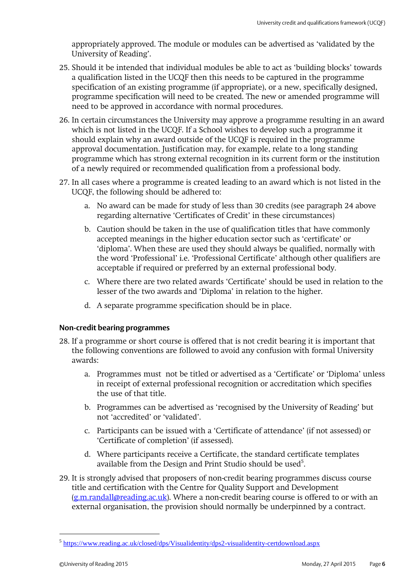appropriately approved. The module or modules can be advertised as 'validated by the University of Reading'.

- 25. Should it be intended that individual modules be able to act as 'building blocks' towards a qualification listed in the UCQF then this needs to be captured in the programme specification of an existing programme (if appropriate), or a new, specifically designed, programme specification will need to be created. The new or amended programme will need to be approved in accordance with normal procedures.
- 26. In certain circumstances the University may approve a programme resulting in an award which is not listed in the UCQF. If a School wishes to develop such a programme it should explain why an award outside of the UCQF is required in the programme approval documentation. Justification may, for example, relate to a long standing programme which has strong external recognition in its current form or the institution of a newly required or recommended qualification from a professional body.
- 27. In all cases where a programme is created leading to an award which is not listed in the UCQF, the following should be adhered to:
	- a. No award can be made for study of less than 30 credits (see paragraph 24 above regarding alternative 'Certificates of Credit' in these circumstances)
	- b. Caution should be taken in the use of qualification titles that have commonly accepted meanings in the higher education sector such as 'certificate' or 'diploma'. When these are used they should always be qualified, normally with the word 'Professional' i.e. 'Professional Certificate' although other qualifiers are acceptable if required or preferred by an external professional body.
	- c. Where there are two related awards 'Certificate' should be used in relation to the lesser of the two awards and 'Diploma' in relation to the higher.
	- d. A separate programme specification should be in place.

### **Non-credit bearing programmes**

- 28. If a programme or short course is offered that is not credit bearing it is important that the following conventions are followed to avoid any confusion with formal University awards:
	- a. Programmes must not be titled or advertised as a 'Certificate' or 'Diploma' unless in receipt of external professional recognition or accreditation which specifies the use of that title.
	- b. Programmes can be advertised as 'recognised by the University of Reading' but not 'accredited' or 'validated'.
	- c. Participants can be issued with a 'Certificate of attendance' (if not assessed) or 'Certificate of completion' (if assessed).
	- d. Where participants receive a Certificate, the standard certificate templates available from the Design and Print Studio should be used $5$ .
- 29. It is strongly advised that proposers of non-credit bearing programmes discuss course title and certification with the Centre for Quality Support and Development [\(g.m.randall@reading.ac.uk\)](mailto:g.m.randall@reading.ac.uk). Where a non-credit bearing course is offered to or with an external organisation, the provision should normally be underpinned by a contract.

1

<sup>&</sup>lt;sup>5</sup> <https://www.reading.ac.uk/closed/dps/Visualidentity/dps2-visualidentity-certdownload.aspx>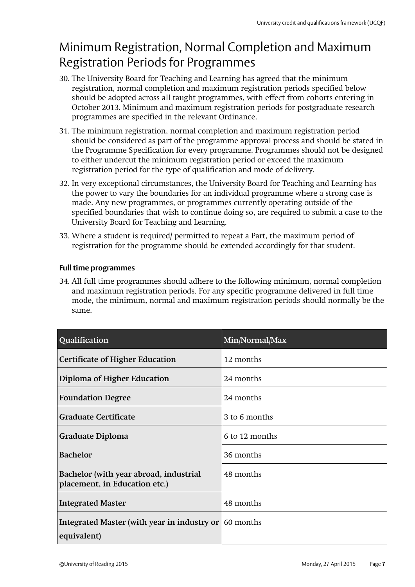# Minimum Registration, Normal Completion and Maximum Registration Periods for Programmes

- 30. The University Board for Teaching and Learning has agreed that the minimum registration, normal completion and maximum registration periods specified below should be adopted across all taught programmes, with effect from cohorts entering in October 2013. Minimum and maximum registration periods for postgraduate research programmes are specified in the relevant Ordinance.
- 31. The minimum registration, normal completion and maximum registration period should be considered as part of the programme approval process and should be stated in the Programme Specification for every programme. Programmes should not be designed to either undercut the minimum registration period or exceed the maximum registration period for the type of qualification and mode of delivery.
- 32. In very exceptional circumstances, the University Board for Teaching and Learning has the power to vary the boundaries for an individual programme where a strong case is made. Any new programmes, or programmes currently operating outside of the specified boundaries that wish to continue doing so, are required to submit a case to the University Board for Teaching and Learning.
- 33. Where a student is required/ permitted to repeat a Part, the maximum period of registration for the programme should be extended accordingly for that student.

# **Full time programmes**

34. All full time programmes should adhere to the following minimum, normal completion and maximum registration periods. For any specific programme delivered in full time mode, the minimum, normal and maximum registration periods should normally be the same.

| Qualification                                                           | Min/Normal/Max |
|-------------------------------------------------------------------------|----------------|
| <b>Certificate of Higher Education</b>                                  | 12 months      |
| Diploma of Higher Education                                             | 24 months      |
| <b>Foundation Degree</b>                                                | 24 months      |
| <b>Graduate Certificate</b>                                             | 3 to 6 months  |
| Graduate Diploma                                                        | 6 to 12 months |
| <b>Bachelor</b>                                                         | 36 months      |
| Bachelor (with year abroad, industrial<br>placement, in Education etc.) | 48 months      |
| <b>Integrated Master</b>                                                | 48 months      |
| Integrated Master (with year in industry or<br>equivalent)              | 60 months      |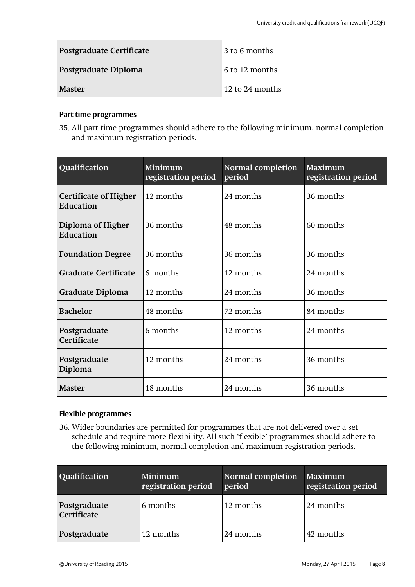| Postgraduate Certificate | 3 to 6 months                                 |  |
|--------------------------|-----------------------------------------------|--|
| Postgraduate Diploma     | $\vert 6 \text{ to } 12 \text{ months} \vert$ |  |
| <b>Master</b>            | 12 to 24 months                               |  |

### **Part time programmes**

35. All part time programmes should adhere to the following minimum, normal completion and maximum registration periods.

| Qualification                             | Minimum<br>Normal completion<br>registration period<br>period |           | <b>Maximum</b><br>registration period |
|-------------------------------------------|---------------------------------------------------------------|-----------|---------------------------------------|
| <b>Certificate of Higher</b><br>Education | 12 months                                                     | 24 months | 36 months                             |
| Diploma of Higher<br>Education            | 36 months                                                     | 48 months | 60 months                             |
| <b>Foundation Degree</b>                  | 36 months                                                     | 36 months | 36 months                             |
| <b>Graduate Certificate</b>               | 6 months                                                      | 12 months | 24 months                             |
| Graduate Diploma                          | 12 months                                                     | 24 months | 36 months                             |
| <b>Bachelor</b>                           | 48 months                                                     | 72 months | 84 months                             |
| Postgraduate<br>Certificate               | 6 months                                                      | 12 months | 24 months                             |
| Postgraduate<br>Diploma                   | 12 months                                                     | 24 months | 36 months                             |
| <b>Master</b>                             | 18 months                                                     | 24 months | 36 months                             |

# **Flexible programmes**

36. Wider boundaries are permitted for programmes that are not delivered over a set schedule and require more flexibility. All such 'flexible' programmes should adhere to the following minimum, normal completion and maximum registration periods.

| <b>Qualification</b>        | Minimum<br>registration period | Normal completion<br>period | <b>Maximum</b><br>registration period |
|-----------------------------|--------------------------------|-----------------------------|---------------------------------------|
| Postgraduate<br>Certificate | 6 months                       | 12 months                   | 24 months                             |
| Postgraduate                | 12 months                      | 24 months                   | 42 months                             |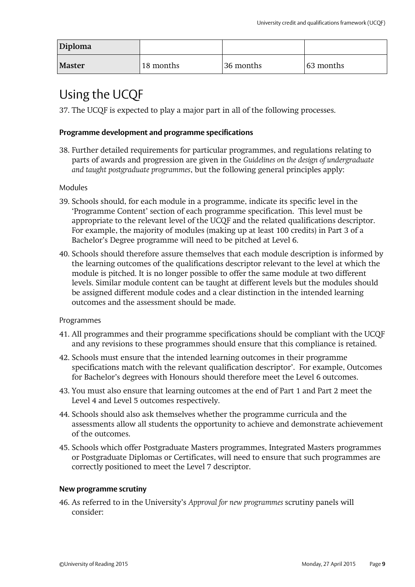| Diploma       |           |           |           |
|---------------|-----------|-----------|-----------|
| <b>Master</b> | 18 months | 36 months | 63 months |

# Using the UCQF

37. The UCQF is expected to play a major part in all of the following processes.

# **Programme development and programme specifications**

38. Further detailed requirements for particular programmes, and regulations relating to parts of awards and progression are given in the *Guidelines on the design of undergraduate and taught postgraduate programmes*, but the following general principles apply:

# Modules

- 39. Schools should, for each module in a programme, indicate its specific level in the 'Programme Content' section of each programme specification. This level must be appropriate to the relevant level of the UCQF and the related qualifications descriptor. For example, the majority of modules (making up at least 100 credits) in Part 3 of a Bachelor's Degree programme will need to be pitched at Level 6.
- 40. Schools should therefore assure themselves that each module description is informed by the learning outcomes of the qualifications descriptor relevant to the level at which the module is pitched. It is no longer possible to offer the same module at two different levels. Similar module content can be taught at different levels but the modules should be assigned different module codes and a clear distinction in the intended learning outcomes and the assessment should be made.

# Programmes

- 41. All programmes and their programme specifications should be compliant with the UCQF and any revisions to these programmes should ensure that this compliance is retained.
- 42. Schools must ensure that the intended learning outcomes in their programme specifications match with the relevant qualification descriptor'. For example, Outcomes for Bachelor's degrees with Honours should therefore meet the Level 6 outcomes.
- 43. You must also ensure that learning outcomes at the end of Part 1 and Part 2 meet the Level 4 and Level 5 outcomes respectively.
- 44. Schools should also ask themselves whether the programme curricula and the assessments allow all students the opportunity to achieve and demonstrate achievement of the outcomes.
- 45. Schools which offer Postgraduate Masters programmes, Integrated Masters programmes or Postgraduate Diplomas or Certificates, will need to ensure that such programmes are correctly positioned to meet the Level 7 descriptor.

### **New programme scrutiny**

46. As referred to in the University's *Approval for new programmes* scrutiny panels will consider: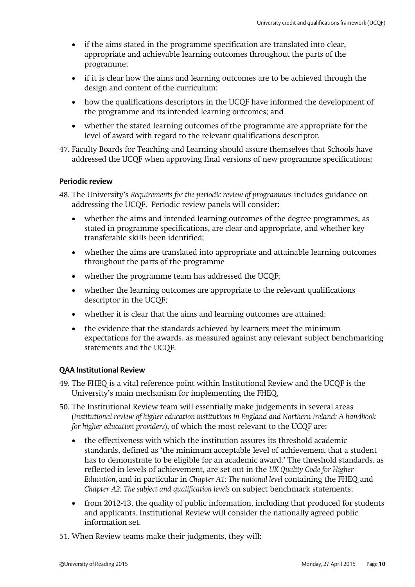- if the aims stated in the programme specification are translated into clear, appropriate and achievable learning outcomes throughout the parts of the programme;
- if it is clear how the aims and learning outcomes are to be achieved through the design and content of the curriculum;
- how the qualifications descriptors in the UCQF have informed the development of the programme and its intended learning outcomes; and
- whether the stated learning outcomes of the programme are appropriate for the level of award with regard to the relevant qualifications descriptor.
- 47. Faculty Boards for Teaching and Learning should assure themselves that Schools have addressed the UCQF when approving final versions of new programme specifications;

### **Periodic review**

- 48. The University's *Requirements for the periodic review of programmes* includes guidance on addressing the UCQF. Periodic review panels will consider:
	- whether the aims and intended learning outcomes of the degree programmes, as stated in programme specifications, are clear and appropriate, and whether key transferable skills been identified;
	- whether the aims are translated into appropriate and attainable learning outcomes throughout the parts of the programme
	- whether the programme team has addressed the UCQF;
	- whether the learning outcomes are appropriate to the relevant qualifications descriptor in the UCQF;
	- whether it is clear that the aims and learning outcomes are attained;
	- the evidence that the standards achieved by learners meet the minimum expectations for the awards, as measured against any relevant subject benchmarking statements and the UCQF.

# **QAA Institutional Review**

- 49. The FHEQ is a vital reference point within Institutional Review and the UCQF is the University's main mechanism for implementing the FHEQ.
- 50. The Institutional Review team will essentially make judgements in several areas (*Institutional review of higher education institutions in England and Northern Ireland: A handbook for higher education providers*), of which the most relevant to the UCQF are:
	- the effectiveness with which the institution assures its threshold academic standards, defined as 'the minimum acceptable level of achievement that a student has to demonstrate to be eligible for an academic award.' The threshold standards, as reflected in levels of achievement, are set out in the *UK Quality Code for Higher Education*, and in particular in *Chapter A1: The national level* containing the FHEQ and *Chapter A2: The subject and qualification levels on subject benchmark statements;*
	- from 2012-13, the quality of public information, including that produced for students and applicants. Institutional Review will consider the nationally agreed public information set.
- 51. When Review teams make their judgments, they will: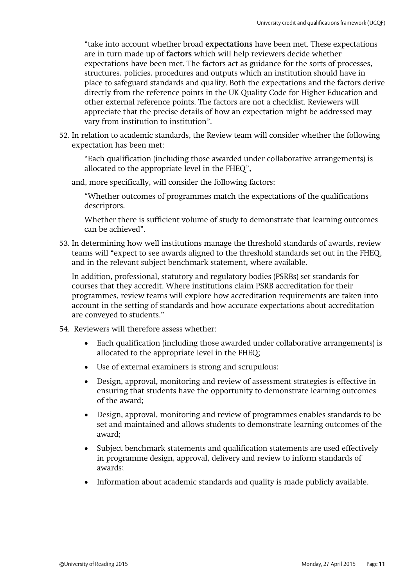"take into account whether broad **expectations** have been met. These expectations are in turn made up of **factors** which will help reviewers decide whether expectations have been met. The factors act as guidance for the sorts of processes, structures, policies, procedures and outputs which an institution should have in place to safeguard standards and quality. Both the expectations and the factors derive directly from the reference points in the UK Quality Code for Higher Education and other external reference points. The factors are not a checklist. Reviewers will appreciate that the precise details of how an expectation might be addressed may vary from institution to institution".

52. In relation to academic standards, the Review team will consider whether the following expectation has been met:

"Each qualification (including those awarded under collaborative arrangements) is allocated to the appropriate level in the FHEQ",

and, more specifically, will consider the following factors:

"Whether outcomes of programmes match the expectations of the qualifications descriptors.

Whether there is sufficient volume of study to demonstrate that learning outcomes can be achieved".

53. In determining how well institutions manage the threshold standards of awards, review teams will "expect to see awards aligned to the threshold standards set out in the FHEQ, and in the relevant subject benchmark statement, where available.

In addition, professional, statutory and regulatory bodies (PSRBs) set standards for courses that they accredit. Where institutions claim PSRB accreditation for their programmes, review teams will explore how accreditation requirements are taken into account in the setting of standards and how accurate expectations about accreditation are conveyed to students."

- 54. Reviewers will therefore assess whether:
	- Each qualification (including those awarded under collaborative arrangements) is allocated to the appropriate level in the FHEQ;
	- Use of external examiners is strong and scrupulous;
	- Design, approval, monitoring and review of assessment strategies is effective in ensuring that students have the opportunity to demonstrate learning outcomes of the award;
	- Design, approval, monitoring and review of programmes enables standards to be set and maintained and allows students to demonstrate learning outcomes of the award;
	- Subject benchmark statements and qualification statements are used effectively in programme design, approval, delivery and review to inform standards of awards;
	- Information about academic standards and quality is made publicly available.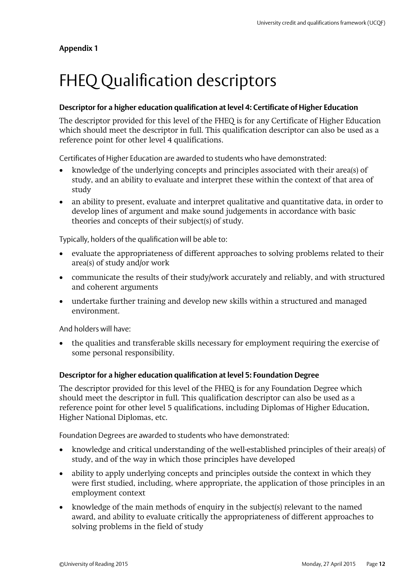# FHEQ Qualification descriptors

### **Descriptor for a higher education qualification at level 4: Certificate of Higher Education**

The descriptor provided for this level of the FHEQ is for any Certificate of Higher Education which should meet the descriptor in full. This qualification descriptor can also be used as a reference point for other level 4 qualifications.

Certificates of Higher Education are awarded to students who have demonstrated:

- knowledge of the underlying concepts and principles associated with their area(s) of study, and an ability to evaluate and interpret these within the context of that area of study
- an ability to present, evaluate and interpret qualitative and quantitative data, in order to develop lines of argument and make sound judgements in accordance with basic theories and concepts of their subject(s) of study.

Typically, holders of the qualification will be able to:

- evaluate the appropriateness of different approaches to solving problems related to their area(s) of study and/or work
- communicate the results of their study/work accurately and reliably, and with structured and coherent arguments
- undertake further training and develop new skills within a structured and managed environment.

And holders will have:

 the qualities and transferable skills necessary for employment requiring the exercise of some personal responsibility.

### **Descriptor for a higher education qualification at level 5: Foundation Degree**

The descriptor provided for this level of the FHEQ is for any Foundation Degree which should meet the descriptor in full. This qualification descriptor can also be used as a reference point for other level 5 qualifications, including Diplomas of Higher Education, Higher National Diplomas, etc.

Foundation Degrees are awarded to students who have demonstrated:

- knowledge and critical understanding of the well-established principles of their area(s) of study, and of the way in which those principles have developed
- ability to apply underlying concepts and principles outside the context in which they were first studied, including, where appropriate, the application of those principles in an employment context
- knowledge of the main methods of enquiry in the subject(s) relevant to the named award, and ability to evaluate critically the appropriateness of different approaches to solving problems in the field of study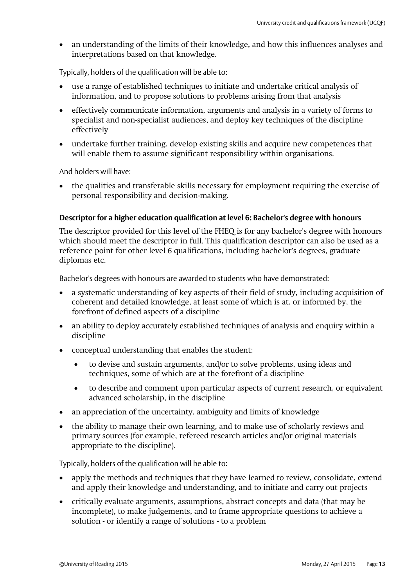an understanding of the limits of their knowledge, and how this influences analyses and interpretations based on that knowledge.

Typically, holders of the qualification will be able to:

- use a range of established techniques to initiate and undertake critical analysis of information, and to propose solutions to problems arising from that analysis
- effectively communicate information, arguments and analysis in a variety of forms to specialist and non-specialist audiences, and deploy key techniques of the discipline effectively
- undertake further training, develop existing skills and acquire new competences that will enable them to assume significant responsibility within organisations.

And holders will have:

 the qualities and transferable skills necessary for employment requiring the exercise of personal responsibility and decision-making.

# **Descriptor for a higher education qualification at level 6: Bachelor's degree with honours**

The descriptor provided for this level of the FHEQ is for any bachelor's degree with honours which should meet the descriptor in full. This qualification descriptor can also be used as a reference point for other level 6 qualifications, including bachelor's degrees, graduate diplomas etc.

Bachelor's degrees with honours are awarded to students who have demonstrated:

- a systematic understanding of key aspects of their field of study, including acquisition of coherent and detailed knowledge, at least some of which is at, or informed by, the forefront of defined aspects of a discipline
- an ability to deploy accurately established techniques of analysis and enquiry within a discipline
- conceptual understanding that enables the student:
	- to devise and sustain arguments, and/or to solve problems, using ideas and techniques, some of which are at the forefront of a discipline
	- to describe and comment upon particular aspects of current research, or equivalent advanced scholarship, in the discipline
- an appreciation of the uncertainty, ambiguity and limits of knowledge
- the ability to manage their own learning, and to make use of scholarly reviews and primary sources (for example, refereed research articles and/or original materials appropriate to the discipline).

Typically, holders of the qualification will be able to:

- apply the methods and techniques that they have learned to review, consolidate, extend and apply their knowledge and understanding, and to initiate and carry out projects
- critically evaluate arguments, assumptions, abstract concepts and data (that may be incomplete), to make judgements, and to frame appropriate questions to achieve a solution - or identify a range of solutions - to a problem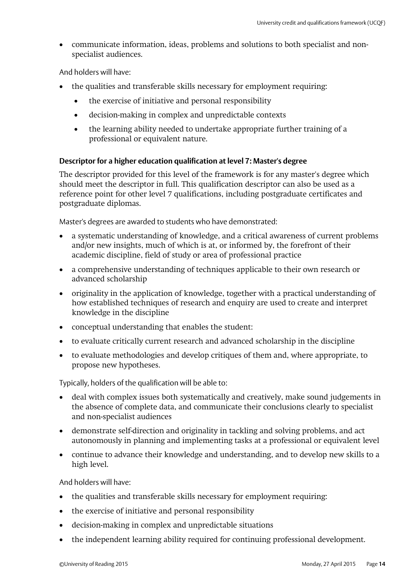communicate information, ideas, problems and solutions to both specialist and nonspecialist audiences.

And holders will have:

- the qualities and transferable skills necessary for employment requiring:
	- the exercise of initiative and personal responsibility
	- decision-making in complex and unpredictable contexts
	- the learning ability needed to undertake appropriate further training of a professional or equivalent nature.

# **Descriptor for a higher education qualification at level 7: Master's degree**

The descriptor provided for this level of the framework is for any master's degree which should meet the descriptor in full. This qualification descriptor can also be used as a reference point for other level 7 qualifications, including postgraduate certificates and postgraduate diplomas.

Master's degrees are awarded to students who have demonstrated:

- a systematic understanding of knowledge, and a critical awareness of current problems and/or new insights, much of which is at, or informed by, the forefront of their academic discipline, field of study or area of professional practice
- a comprehensive understanding of techniques applicable to their own research or advanced scholarship
- originality in the application of knowledge, together with a practical understanding of how established techniques of research and enquiry are used to create and interpret knowledge in the discipline
- conceptual understanding that enables the student:
- to evaluate critically current research and advanced scholarship in the discipline
- to evaluate methodologies and develop critiques of them and, where appropriate, to propose new hypotheses.

Typically, holders of the qualification will be able to:

- deal with complex issues both systematically and creatively, make sound judgements in the absence of complete data, and communicate their conclusions clearly to specialist and non-specialist audiences
- demonstrate self-direction and originality in tackling and solving problems, and act autonomously in planning and implementing tasks at a professional or equivalent level
- continue to advance their knowledge and understanding, and to develop new skills to a high level.

And holders will have:

- the qualities and transferable skills necessary for employment requiring:
- the exercise of initiative and personal responsibility
- decision-making in complex and unpredictable situations
- the independent learning ability required for continuing professional development.